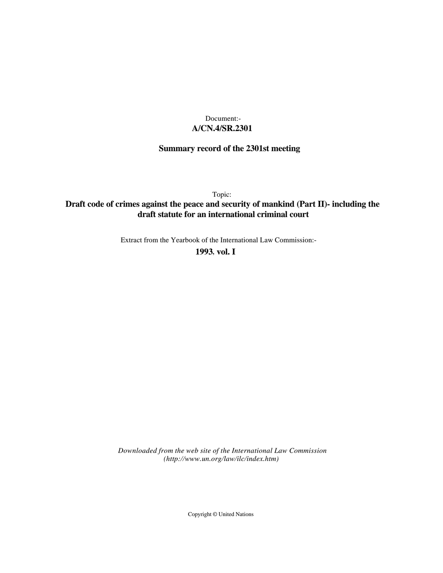## **A/CN.4/SR.2301** Document:-

# **Summary record of the 2301st meeting**

Topic:

## **Draft code of crimes against the peace and security of mankind (Part II)- including the draft statute for an international criminal court**

Extract from the Yearbook of the International Law Commission:-

**1993** , **vol. I**

*Downloaded from the web site of the International Law Commission (http://www.un.org/law/ilc/index.htm)*

Copyright © United Nations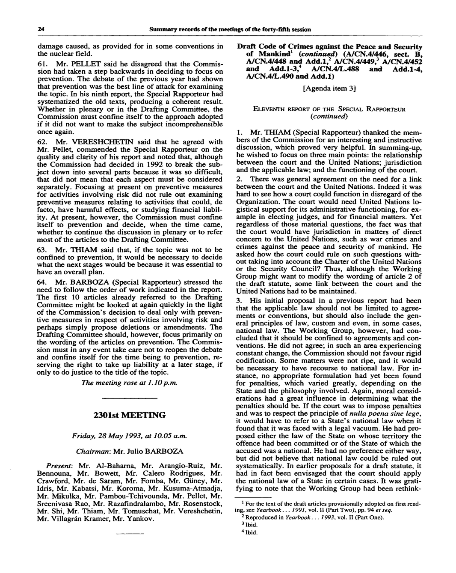damage caused, as provided for in some conventions in the nuclear field.

61. Mr. PELLET said he disagreed that the Commission had taken a step backwards in deciding to focus on prevention. The debate of the previous year had shown that prevention was the best line of attack for examining the topic. In his ninth report, the Special Rapporteur had systematized the old texts, producing a coherent result. Whether in plenary or in the Drafting Committee, the Commission must confine itself to the approach adopted if it did not want to make the subject incomprehensible once again.

62. Mr. VERESHCHETIN said that he agreed with Mr. Pellet, commended the Special Rapporteur on the quality and clarity of his report and noted that, although the Commission had decided in 1992 to break the subject down into several parts because it was so difficult, that did not mean that each aspect must be considered separately. Focusing at present on preventive measures for activities involving risk did not rule out examining preventive measures relating to activities that could, de facto, have harmful effects, or studying financial liability. At present, however, the Commission must confine itself to prevention and decide, when the time came, whether to continue the discussion in plenary or to refer most of the articles to the Drafting Committee.

63. Mr. THIAM said that, if the topic was not to be confined to prevention, it would be necessary to decide what the next stages would be because it was essential to have an overall plan.

64. Mr. BARBOZA (Special Rapporteur) stressed the need to follow the order of work indicated in the report. The first 10 articles already referred to the Drafting Committee might be looked at again quickly in the light of the Commission's decision to deal only with preventive measures in respect of activities involving risk and perhaps simply propose deletions or amendments. The Drafting Committee should, however, focus primarily on the wording of the articles on prevention. The Commission must in any event take care not to reopen the debate and confine itself for the time being to prevention, reserving the right to take up liability at a later stage, if only to do justice to the title of the topic.

*The meeting rose at 1.10p.m.*

## **2301st MEETING**

### *Friday, 28 May 1993, at 10.05 a.m.*

### *Chairman:* Mr. Julio BARBOZA

*Present:* Mr. Al-Baharna, Mr. Arangio-Ruiz, Mr. Bennouna, Mr. Bowett, Mr. Calero Rodrigues, Mr. Crawford, Mr. de Saram, Mr. Fomba, Mr, Giiney, Mr. Idris, Mr. Kabatsi, Mr. Koroma, Mr. Kusuma-Atmadja, Mr. Mikulka, Mr. Pambou-Tchivounda, Mr. Pellet, Mr. Sreenivasa Rao, Mr. Razafindralambo, Mr. Rosenstock, Mr. Shi, Mr. Thiam, Mr. Tomuschat, Mr. Vereshchetin, Mr. Villagrán Kramer, Mr. Yankov.

**Draft Code of Crimes against the Peace and Security of Mankind<sup>1</sup>**  *(continued)* **(A/CN.4/446, sect. B, A/CN.4/448 and Add.l,<sup>2</sup> A/CN.4/449,<sup>3</sup> A/CN.4/452 and Add.1-3,<sup>4</sup> A/CN.4/L.488 and Add. 1-4, A/CN.4/L.490 and Add.l)**

[Agenda item 3]

#### ELEVENTH REPORT OF THE SPECIAL RAPPORTEUR *(continued)*

1. Mr. THIAM (Special Rapporteur) thanked the members of the Commission for an interesting and instructive discussion, which proved very helpful. In summing-up, he wished to focus on three main points: the relationship between the court and the United Nations: jurisdiction and the applicable law; and the functioning of the court.

2. There was general agreement on the need for a link between the court and the United Nations. Indeed it was hard to see how a court could function in disregard of the Organization. The court would need United Nations logistical support for its administrative functioning, for example in electing judges, and for financial matters. Yet regardless of those material questions, the fact was that the court would have jurisdiction in matters of direct concern to the United Nations, such as war crimes and crimes against the peace and security of mankind. He asked how the court could rule on such questions without taking into account the Charter of the United Nations or the Security Council? Thus, although the Working Group might want to modify the wording of article 2 of the draft statute, some link between the court and the United Nations had to be maintained.

3. His initial proposal in a previous report had been that the applicable law should not be limited to agreements or conventions, but should also include the general principles of law, custom and even, in some cases, national law. The Working Group, however, had concluded that it should be confined to agreements and conventions. He did not agree; in such an area experiencing constant change, the Commission should not favour rigid codification. Some matters were not ripe, and it would be necessary to have recourse to national law. For instance, no appropriate formulation had yet been found for penalties, which varied greatly, depending on the State and the philosophy involved. Again, moral considerations had a great influence in determining what the penalties should be. If the court was to impose penalties and was to respect the principle of *nulla poena sine lege,* it would have to refer to a State's national law when it found that it was faced with a legal vacuum. He had proposed either the law of the State on whose territory the offence had been committed or of the State of which the accused was a national. He had no preference either way, but did not believe that national law could be ruled out systematically. In earlier proposals for a draft statute, it had in fact been envisaged that the court should apply the national law of a State in certain cases. It was gratifying to note that the Working Group had been rethink-

3 Ibid.

<sup>&</sup>lt;sup>1</sup> For the text of the draft articles provisionally adopted on first reading, see *Yearbook.*.. *1991,* vol. II (Part Two), pp. 94 *et seq.*

<sup>2</sup> Reproduced in *Yearbook... 1993,* vol. II (Part One).

<sup>4</sup> Ibid.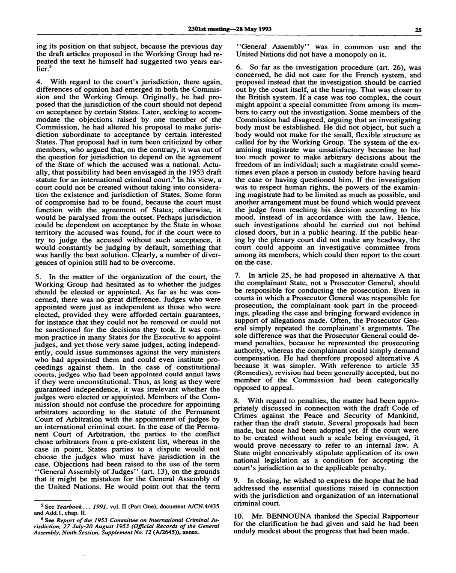ing its position on that subject, because the previous day the draft articles proposed in the Working Group had repeated the text he himself had suggested two years earlier.

4. With regard to the court's jurisdiction, there again, differences of opinion had emerged in both the Commission and the Working Group. Originally, he had proposed that the jurisdiction of the court should not depend on acceptance by certain States. Later, seeking to accommodate the objections raised by one member of the Commission, he had altered his proposal to make jurisdiction subordinate to acceptance by certain interested States. That proposal had in turn been criticized by other members, who argued that, on the contrary, it was out of the question for jurisdiction to depend on the agreement of the State of which the accused was a national. Actually, that possibility had been envisaged in the 1953 draft statute for an international criminal court.<sup>6</sup> In his view, a court could not be created without taking into consideration the existence and jurisdiction of States. Some form of compromise had to be found, because the court must function with the agreement of States; otherwise, it would be paralysed from the outset. Perhaps jurisdiction could be dependent on acceptance by the State in whose territory the accused was found, for if the court were to try to judge the accused without such acceptance, it would constantly be judging by default, something that was hardly the best solution. Clearly, a number of divergences of opinion still had to be overcome.

5. In the matter of the organization of the court, the Working Group had hesitated as to whether the judges should be elected or appointed. As far as he was concerned, there was no great difference. Judges who were appointed were just as independent as those who were elected, provided they were afforded certain guarantees, for instance that they could not be removed or could not be sanctioned for the decisions they took. It was common practice in many States for the Executive to appoint judges, and yet those very same judges, acting independently, could issue summonses against the very ministers who had appointed them and could even institute proceedings against them. In the case of constitutional courts, judges who had been appointed could annul laws if they were unconstitutional. Thus, as long as they were guaranteed independence, it was irrelevant whether the judges were elected or appointed. Members of the Commission should not confuse the procedure for appointing arbitrators according to the statute of the Permanent Court of Arbitration with the appointment of judges by an international criminal court. In the case of the Permanent Court of Arbitration, the parties to the conflict chose arbitrators from a pre-existent list, whereas in the case in point, States parties to a dispute would not choose the judges who must have jurisdiction in the case. Objections had been raised to the use of the term "General Assembly of Judges" (art. 13), on the grounds that it might be mistaken for the General Assembly of the United Nations. He would point out that the term

"General Assembly" was in common use and the United Nations did not have a monopoly on it.

6. So far as the investigation procedure (art. 26), was concerned, he did not care for the French system, and proposed instead that the investigation should be carried out by the court itself, at the hearing. That was closer to the British system. If a case was too complex, the court might appoint a special committee from among its members to carry out the investigation. Some members of the Commission had disagreed, arguing that an investigating body must be established. He did not object, but such a body would not make for the small, flexible structure as called for by the Working Group. The system of the examining magistrate was unsatisfactory because he had too much power to make arbitrary decisions about the freedom of an individual; such a magistrate could sometimes even place a person in custody before having heard the case or having questioned him. If the investigation was to respect human rights, the powers of the examining magistrate had to be limited as much as possible, and another arrangement must be found which would prevent the judge from reaching his decision according to his mood, instead of in accordance with the law. Hence, such investigations should be carried out not behind closed doors, but in a public hearing. If the public hearing by the plenary court did not make any headway, the court could appoint an investigative committee from among its members, which could then report to the court on the case.

7. In article 25, he had proposed in alternative A that the complainant State, not a Prosecutor General, should be responsible for conducting the prosecution. Even in courts in which a Prosecutor General was responsible for prosecution, the complainant took part in the proceedings, pleading the case and bringing forward evidence in support of allegations made. Often, the Prosecutor General simply repeated the complainant's arguments. The sole difference was that the Prosecutor General could demand penalties, because he represented the prosecuting authority, whereas the complainant could simply demand compensation. He had therefore proposed alternative A because it was simpler. With reference to article 35 (Remedies), revision had been generally accepted, but no member of the Commission had been categorically opposed to appeal.

8. With regard to penalties, the matter had been appropriately discussed in connection with the draft Code of Crimes against the Peace and Security of Mankind, rather than the draft statute. Several proposals had been made, but none had been adopted yet. If the court were to be created without such a scale being envisaged, it would prove necessary to refer to an internal law. A State might conceivably stipulate application of its own national legislation as a condition for accepting the court's jurisdiction as to the applicable penalty.

In closing, he wished to express the hope that he had addressed the essential questions raised in connection with the jurisdiction and organization of an international criminal court.

10. Mr. BENNOUNA thanked the Special Rapporteur for the clarification he had given and said he had been unduly modest about the progress that had been made.

<sup>5</sup> See *Yearbook... 1991,* vol. II (Part One), document A/CN.4/435 and Add. 1, chap. II.

<sup>6</sup> See *Report of the 1953 Committee on International Criminal Jurisdiction, 27 July-20 August 1953 (Official Records of the General Assembly, Ninth Session, Supplement No. 12* (A/2645)), annex.